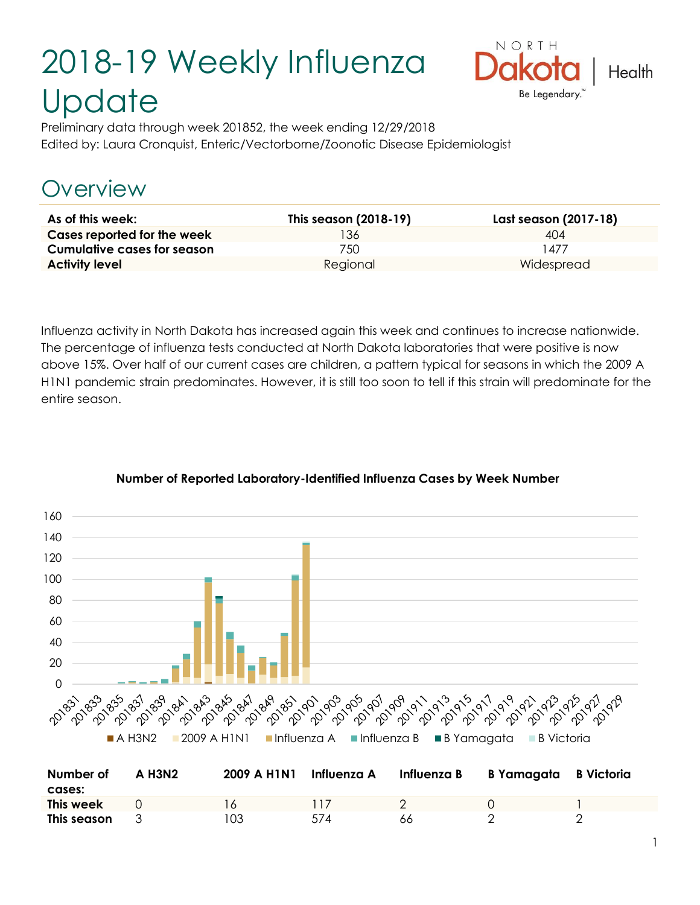# 2018-19 Weekly Influenza **Update**



Preliminary data through week 201852, the week ending 12/29/2018 Edited by: Laura Cronquist, Enteric/Vectorborne/Zoonotic Disease Epidemiologist

# Overview

| As of this week:                   | This season (2018-19) | Last season (2017-18) |
|------------------------------------|-----------------------|-----------------------|
| Cases reported for the week        | '36                   | 404                   |
| <b>Cumulative cases for season</b> | 750.                  | 477                   |
| <b>Activity level</b>              | Regional              | Widespread            |

Influenza activity in North Dakota has increased again this week and continues to increase nationwide. The percentage of influenza tests conducted at North Dakota laboratories that were positive is now above 15%. Over half of our current cases are children, a pattern typical for seasons in which the 2009 A H1N1 pandemic strain predominates. However, it is still too soon to tell if this strain will predominate for the entire season.



#### **Number of Reported Laboratory-Identified Influenza Cases by Week Number**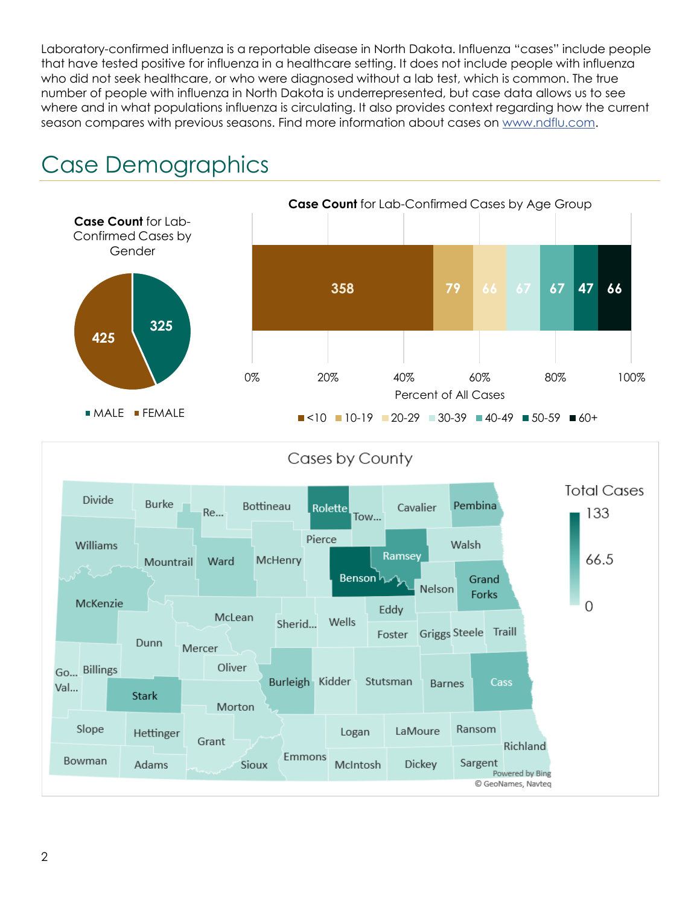Laboratory-confirmed influenza is a reportable disease in North Dakota. Influenza "cases" include people that have tested positive for influenza in a healthcare setting. It does not include people with influenza who did not seek healthcare, or who were diagnosed without a lab test, which is common. The true number of people with influenza in North Dakota is underrepresented, but case data allows us to see where and in what populations influenza is circulating. It also provides context regarding how the current season compares with previous seasons. Find more information about cases on [www.ndflu.com.](file://///nd.gov/doh/DOH-DATA/MSS/DC/PROGRAM/IMMUNE/Immunize/Influenza/Inf18-19/Surveillance/Weekly%20Summaries/www.ndflu.com)





Cases by County

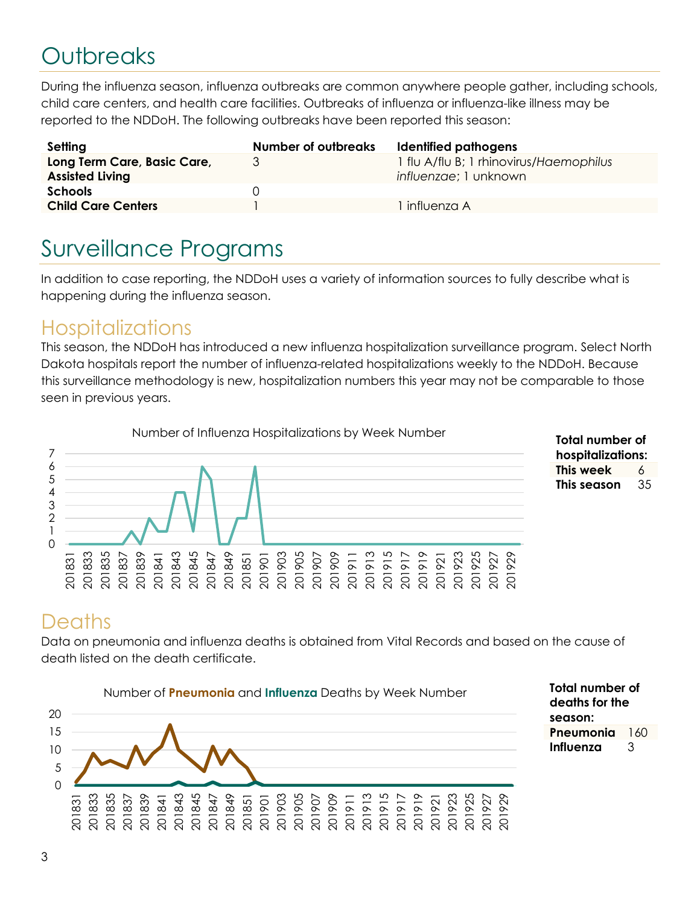# **Outbreaks**

During the influenza season, influenza outbreaks are common anywhere people gather, including schools, child care centers, and health care facilities. Outbreaks of influenza or influenza-like illness may be reported to the NDDoH. The following outbreaks have been reported this season:

| Setting                                               | <b>Number of outbreaks</b> | Identified pathogens                                             |
|-------------------------------------------------------|----------------------------|------------------------------------------------------------------|
| Long Term Care, Basic Care,<br><b>Assisted Living</b> | 3                          | 1 flu A/flu B; 1 rhinovirus/Haemophilus<br>influenzae; 1 unknown |
| <b>Schools</b>                                        |                            |                                                                  |
| <b>Child Care Centers</b>                             |                            | l influenza A                                                    |

# Surveillance Programs

In addition to case reporting, the NDDoH uses a variety of information sources to fully describe what is happening during the influenza season.

#### **Hospitalizations**

This season, the NDDoH has introduced a new influenza hospitalization surveillance program. Select North Dakota hospitals report the number of influenza-related hospitalizations weekly to the NDDoH. Because this surveillance methodology is new, hospitalization numbers this year may not be comparable to those seen in previous years.



**Total number of hospitalizations: This week** 6 **This season** 35

### **Deaths**

Data on pneumonia and influenza deaths is obtained from Vital Records and based on the cause of death listed on the death certificate.



**Total number of deaths for the season: Pneumonia** 160 **Influenza** 3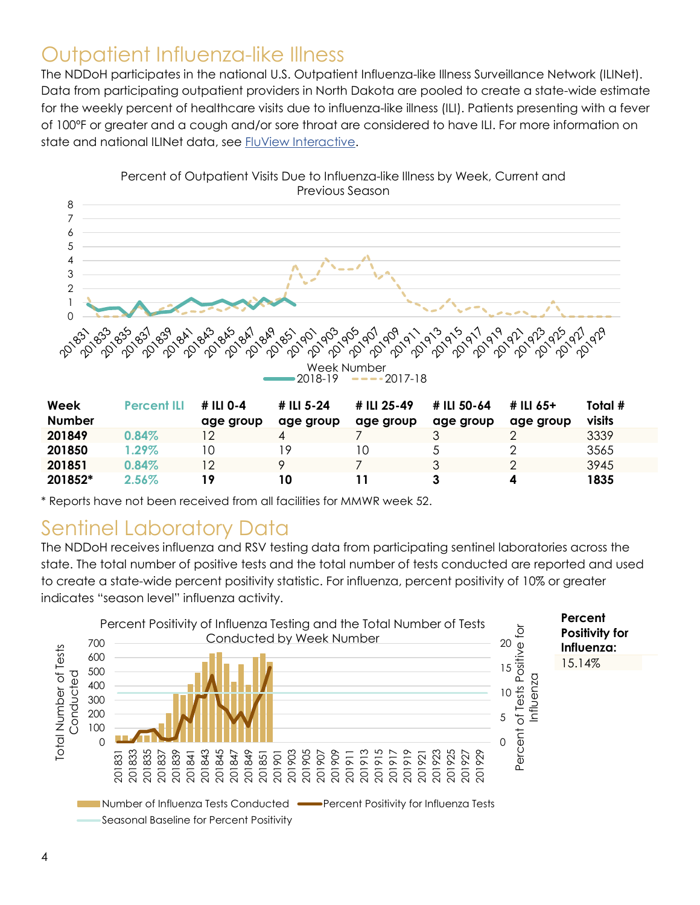#### Outpatient Influenza-like Illness

The NDDoH participates in the national U.S. Outpatient Influenza-like Illness Surveillance Network (ILINet). Data from participating outpatient providers in North Dakota are pooled to create a state-wide estimate for the weekly percent of healthcare visits due to influenza-like illness (ILI). Patients presenting with a fever of 100ºF or greater and a cough and/or sore throat are considered to have ILI. For more information on state and national ILINet data, see [FluView Interactive.](https://gis.cdc.gov/grasp/fluview/fluportaldashboard.html)



| Percent of Outpatient Visits Due to Influenza-like Illness by Week, Current and |
|---------------------------------------------------------------------------------|
| Previous Season                                                                 |

| Week<br><b>Number</b> | <b>Percent ILI</b> | # ILI 0-4<br>age group | # ILI 5-24<br>age group | # ILI 25-49<br>age group | # ILI 50-64<br>age group | # ILI 65+<br>age group | Total #<br>visits |
|-----------------------|--------------------|------------------------|-------------------------|--------------------------|--------------------------|------------------------|-------------------|
|                       |                    |                        |                         |                          |                          |                        |                   |
| 201849                | 0.84%              | 12                     |                         |                          |                          |                        | 3339              |
| 201850                | $1.29\%$           | 10                     | , Q                     | 10                       |                          |                        | 3565              |
| 201851                | 0.84%              | 12                     |                         |                          |                          |                        | 3945              |
| 201852*               | $2.56\%$           | 19                     | 10                      |                          |                          |                        | 1835              |

\* Reports have not been received from all facilities for MMWR week 52.

#### Sentinel Laboratory Data

The NDDoH receives influenza and RSV testing data from participating sentinel laboratories across the state. The total number of positive tests and the total number of tests conducted are reported and used to create a state-wide percent positivity statistic. For influenza, percent positivity of 10% or greater indicates "season level" influenza activity.

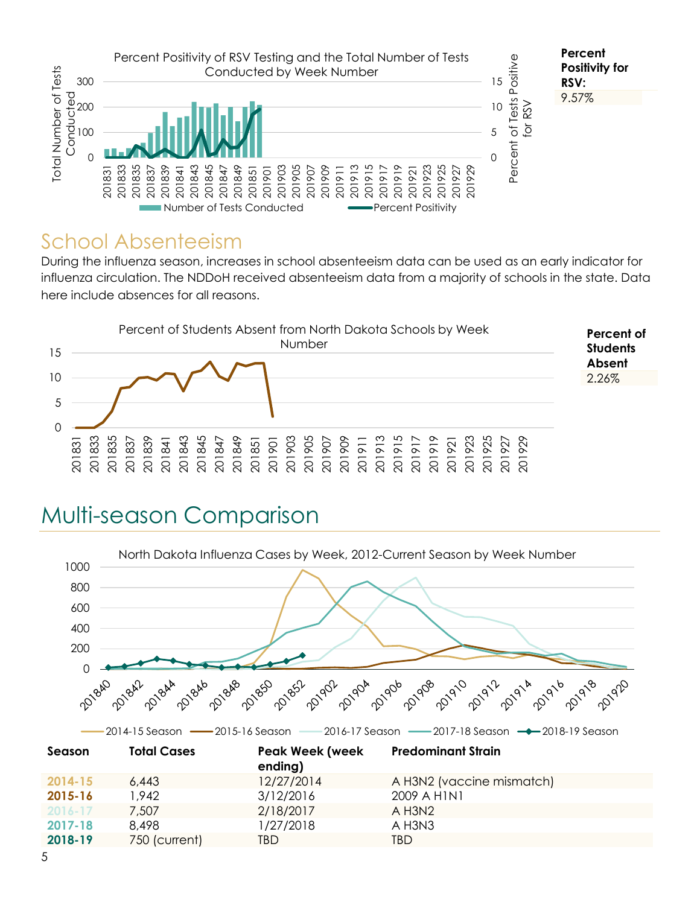

#### School Absenteeism

During the influenza season, increases in school absenteeism data can be used as an early indicator for influenza circulation. The NDDoH received absenteeism data from a majority of schools in the state. Data here include absences for all reasons.



# Multi-season Comparison